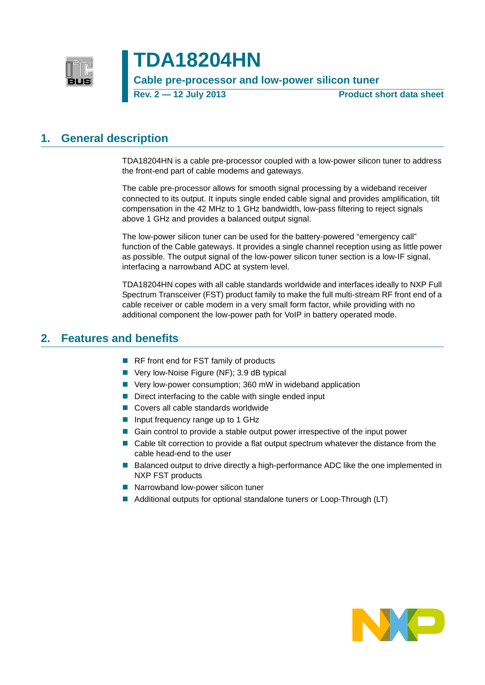

**TDA18204HN**

**Cable pre-processor and low-power silicon tuner**

**Rev. 2 — 12 July 2013 Product short data sheet**

## <span id="page-0-0"></span>**1. General description**

TDA18204HN is a cable pre-processor coupled with a low-power silicon tuner to address the front-end part of cable modems and gateways.

The cable pre-processor allows for smooth signal processing by a wideband receiver connected to its output. It inputs single ended cable signal and provides amplification, tilt compensation in the 42 MHz to 1 GHz bandwidth, low-pass filtering to reject signals above 1 GHz and provides a balanced output signal.

The low-power silicon tuner can be used for the battery-powered "emergency call" function of the Cable gateways. It provides a single channel reception using as little power as possible. The output signal of the low-power silicon tuner section is a low-IF signal, interfacing a narrowband ADC at system level.

TDA18204HN copes with all cable standards worldwide and interfaces ideally to NXP Full Spectrum Transceiver (FST) product family to make the full multi-stream RF front end of a cable receiver or cable modem in a very small form factor, while providing with no additional component the low-power path for VoIP in battery operated mode.

## <span id="page-0-1"></span>**2. Features and benefits**

- RF front end for FST family of products
- Very low-Noise Figure (NF); 3.9 dB typical
- Very low-power consumption; 360 mW in wideband application
- $\blacksquare$  Direct interfacing to the cable with single ended input
- Covers all cable standards worldwide
- Input frequency range up to 1 GHz
- Gain control to provide a stable output power irrespective of the input power
- Cable tilt correction to provide a flat output spectrum whatever the distance from the cable head-end to the user
- Balanced output to drive directly a high-performance ADC like the one implemented in NXP FST products
- Narrowband low-power silicon tuner
- Additional outputs for optional standalone tuners or Loop-Through (LT)

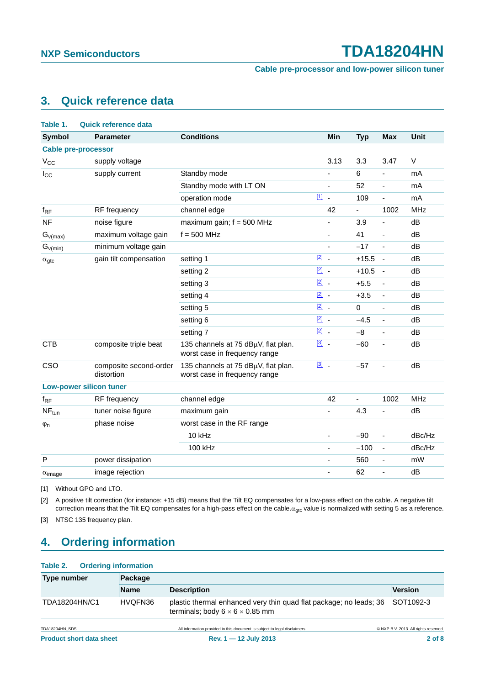**Cable pre-processor and low-power silicon tuner**

## <span id="page-1-5"></span>**3. Quick reference data**

<span id="page-1-3"></span>

| Table 1.                  | <b>Quick reference data</b>          |                                                                      |                 |                |                          |            |
|---------------------------|--------------------------------------|----------------------------------------------------------------------|-----------------|----------------|--------------------------|------------|
| <b>Symbol</b>             | <b>Parameter</b>                     | <b>Conditions</b>                                                    | <b>Min</b>      | <b>Typ</b>     | <b>Max</b>               | Unit       |
|                           | <b>Cable pre-processor</b>           |                                                                      |                 |                |                          |            |
| $V_{CC}$                  | supply voltage                       |                                                                      | 3.13            | 3.3            | 3.47                     | V          |
| $I_{\rm CC}$              | supply current                       | Standby mode                                                         |                 | 6              | ÷,                       | mA         |
|                           |                                      | Standby mode with LT ON                                              | ä,              | 52             | ÷,                       | mA         |
|                           |                                      | operation mode                                                       | $[1]$<br>J.     | 109            | ÷,                       | mA         |
| $f_{\sf RF}$              | RF frequency                         | channel edge                                                         | 42              | $\blacksquare$ | 1002                     | <b>MHz</b> |
| <b>NF</b>                 | noise figure                         | maximum gain; $f = 500$ MHz                                          |                 | 3.9            |                          | dB         |
| $G_{v(max)}$              | maximum voltage gain                 | $f = 500$ MHz                                                        | ä,              | 41             | ä,                       | dB         |
| $G_{v(min)}$              | minimum voltage gain                 |                                                                      | ÷,              | $-17$          | ÷,                       | dB         |
| $\alpha_{\text{gtc}}$     | gain tilt compensation               | setting 1                                                            | $\boxed{2}$     | $+15.5$        | $\overline{\phantom{a}}$ | dB         |
|                           |                                      | setting 2                                                            | $\boxed{2}$ .   | $+10.5$        | $\overline{\phantom{a}}$ | dB         |
|                           |                                      | setting 3                                                            | $[2]$<br>$\sim$ | $+5.5$         | $\overline{\phantom{0}}$ | dB         |
|                           |                                      | setting 4                                                            | $\boxed{2}$ _   | $+3.5$         | $\frac{1}{2}$            | dB         |
|                           |                                      | setting 5                                                            | $\boxed{2}$ .   | $\mathbf 0$    | L.                       | dB         |
|                           |                                      | setting 6                                                            | $\boxed{2}$ .   | $-4.5$         | ÷,                       | dB         |
|                           |                                      | setting 7                                                            | $\boxed{2}$ .   | $-8$           | ÷,                       | dB         |
| <b>CTB</b>                | composite triple beat                | 135 channels at 75 dBµV, flat plan.<br>worst case in frequency range | $\boxed{3}$ .   | $-60$          | ÷,                       | dB         |
| CSO                       | composite second-order<br>distortion | 135 channels at 75 dBµV, flat plan.<br>worst case in frequency range | $\boxed{3}$ .   | $-57$          | ÷,                       | dB         |
|                           | <b>Low-power silicon tuner</b>       |                                                                      |                 |                |                          |            |
| $f_{RF}$                  | RF frequency                         | channel edge                                                         | 42              | ä,             | 1002                     | <b>MHz</b> |
| $NF_{tun}$                | tuner noise figure                   | maximum gain                                                         | $\blacksquare$  | 4.3            | ÷,                       | dB         |
| $\varphi_n$               | phase noise                          | worst case in the RF range                                           |                 |                |                          |            |
|                           |                                      | 10 kHz                                                               | ÷,              | $-90$          | ÷,                       | dBc/Hz     |
|                           |                                      | 100 kHz                                                              | ä,              | $-100$         | $\blacksquare$           | dBc/Hz     |
| P                         | power dissipation                    |                                                                      | ä,              | 560            | ÷,                       | mW         |
| $\alpha$ <sub>image</sub> | image rejection                      |                                                                      | ä,              | 62             | L,                       | dB         |
|                           |                                      |                                                                      |                 |                |                          |            |

<span id="page-1-0"></span>[1] Without GPO and LTO.

<span id="page-1-1"></span>[2] A positive tilt correction (for instance: +15 dB) means that the Tilt EQ compensates for a low-pass effect on the cable. A negative tilt correction means that the Tilt EQ compensates for a high-pass effect on the cable. $\alpha_{\text{etc}}$  value is normalized with setting 5 as a reference.

<span id="page-1-2"></span>[3] NTSC 135 frequency plan.

## <span id="page-1-6"></span>**4. Ordering information**

#### <span id="page-1-4"></span>**Table 2. Ordering information**

| Type number   | Package     |                                                                                                                             |                |  |
|---------------|-------------|-----------------------------------------------------------------------------------------------------------------------------|----------------|--|
|               | <b>Name</b> | <b>Description</b>                                                                                                          | <b>Version</b> |  |
| TDA18204HN/C1 | HVQFN36     | plastic thermal enhanced very thin quad flat package; no leads; 36 SOT1092-3<br>terminals; body $6 \times 6 \times 0.85$ mm |                |  |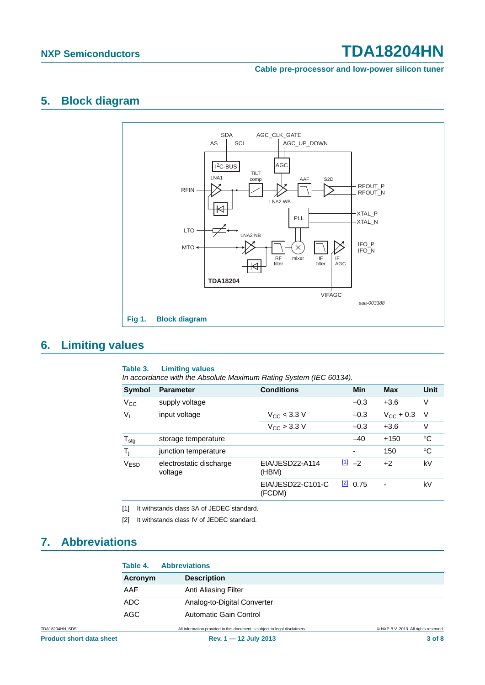#### **Cable pre-processor and low-power silicon tuner**

### <span id="page-2-5"></span>**5. Block diagram**



## <span id="page-2-6"></span>**6. Limiting values**

#### <span id="page-2-4"></span><span id="page-2-2"></span>**Table 3. Limiting values**

*In accordance with the Absolute Maximum Rating System (IEC 60134).*

| <b>Symbol</b>    | <b>Parameter</b>                   | <b>Conditions</b>           | Min                | <b>Max</b>         | Unit        |
|------------------|------------------------------------|-----------------------------|--------------------|--------------------|-------------|
| $V_{\rm CC}$     | supply voltage                     |                             | $-0.3$             | $+3.6$             | V           |
| $V_{I}$          | input voltage                      | $V_{\text{CC}}$ < 3.3 V     | $-0.3$             | $V_{\rm CC}$ + 0.3 | - V         |
|                  |                                    | $V_{\rm CC}$ > 3.3 V        | $-0.3$             | $+3.6$             | ٧           |
| $T_{\text{stg}}$ | storage temperature                |                             | $-40$              | $+150$             | ℃           |
| $T_i$            | junction temperature               |                             | ٠                  | 150                | $^{\circ}C$ |
| V <sub>ESD</sub> | electrostatic discharge<br>voltage | EIA/JESD22-A114<br>(HBM)    | $\frac{[1]}{2}$ -2 | $+2$               | kV          |
|                  |                                    | EIA/JESD22-C101-C<br>(FCDM) | 20.75              |                    | kV          |

<span id="page-2-1"></span>[1] It withstands class 3A of JEDEC standard.

<span id="page-2-3"></span><span id="page-2-0"></span>[2] It withstands class IV of JEDEC standard.

## <span id="page-2-7"></span>**7. Abbreviations**

|                | Table 4. | <b>Abbreviations</b>                                                       |                                       |
|----------------|----------|----------------------------------------------------------------------------|---------------------------------------|
|                | Acronym  | <b>Description</b>                                                         |                                       |
|                | AAF      | Anti Aliasing Filter                                                       |                                       |
|                | ADC.     | Analog-to-Digital Converter                                                |                                       |
|                | AGC      | <b>Automatic Gain Control</b>                                              |                                       |
| TDA18204HN SDS |          | All information provided in this document is subject to legal disclaimers. | © NXP B.V. 2013. All rights reserved. |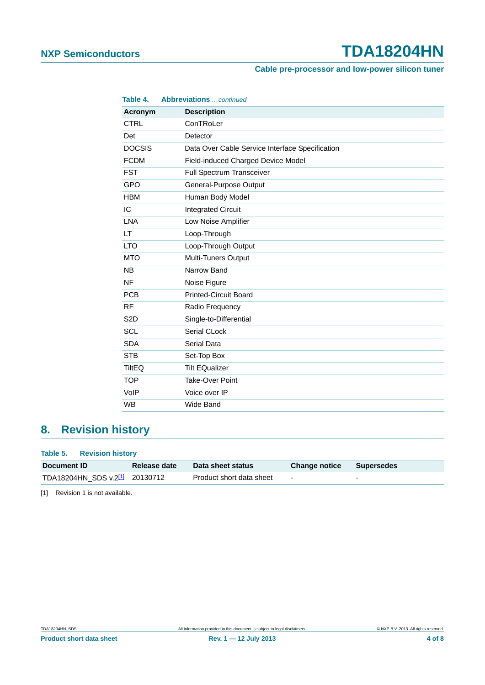### **Cable pre-processor and low-power silicon tuner**

| Table 4.         | <b>Abbreviations</b> continued                  |
|------------------|-------------------------------------------------|
| Acronym          | <b>Description</b>                              |
| <b>CTRL</b>      | ConTRoLer                                       |
| Det              | Detector                                        |
| <b>DOCSIS</b>    | Data Over Cable Service Interface Specification |
| <b>FCDM</b>      | Field-induced Charged Device Model              |
| <b>FST</b>       | Full Spectrum Transceiver                       |
| GPO              | General-Purpose Output                          |
| <b>HBM</b>       | Human Body Model                                |
| IC               | <b>Integrated Circuit</b>                       |
| <b>LNA</b>       | Low Noise Amplifier                             |
| LT               | Loop-Through                                    |
| <b>LTO</b>       | Loop-Through Output                             |
| <b>MTO</b>       | Multi-Tuners Output                             |
| <b>NB</b>        | Narrow Band                                     |
| <b>NF</b>        | Noise Figure                                    |
| <b>PCB</b>       | <b>Printed-Circuit Board</b>                    |
| <b>RF</b>        | Radio Frequency                                 |
| S <sub>2</sub> D | Single-to-Differential                          |
| <b>SCL</b>       | Serial CLock                                    |
| <b>SDA</b>       | Serial Data                                     |
| <b>STB</b>       | Set-Top Box                                     |
| <b>TiltEQ</b>    | <b>Tilt EQualizer</b>                           |
| <b>TOP</b>       | Take-Over Point                                 |
| VoIP             | Voice over IP                                   |
| <b>WB</b>        | <b>Wide Band</b>                                |

## <span id="page-3-2"></span>**8. Revision history**

#### <span id="page-3-1"></span>**Table 5. Revision history**

| Document ID                                | Release date | Data sheet status        | <b>Change notice</b> | Supersedes |
|--------------------------------------------|--------------|--------------------------|----------------------|------------|
| TDA18204HN_SDS v.2 <sup>[1]</sup> 20130712 |              | Product short data sheet | $\sim$               | $\sim$     |

<span id="page-3-0"></span>[1] Revision 1 is not available.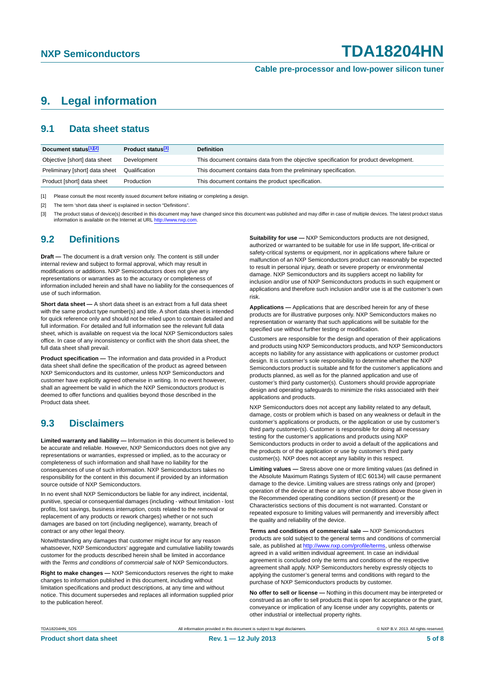**Cable pre-processor and low-power silicon tuner**

## <span id="page-4-3"></span>**9. Legal information**

### <span id="page-4-4"></span>**9.1 Data sheet status**

| Document status[1][2]          | <b>Product status</b> <sup>[3]</sup> | <b>Definition</b>                                                                     |
|--------------------------------|--------------------------------------|---------------------------------------------------------------------------------------|
| Objective [short] data sheet   | Development                          | This document contains data from the objective specification for product development. |
| Preliminary [short] data sheet | Qualification                        | This document contains data from the preliminary specification.                       |
| Product [short] data sheet     | Production                           | This document contains the product specification.                                     |

<span id="page-4-0"></span>[1] Please consult the most recently issued document before initiating or completing a design.

<span id="page-4-1"></span>[2] The term 'short data sheet' is explained in section "Definitions".

<span id="page-4-2"></span>[3] The product status of device(s) described in this document may have changed since this document was published and may differ in case of multiple devices. The latest product status<br>information is available on the Intern

### <span id="page-4-5"></span>**9.2 Definitions**

**Draft —** The document is a draft version only. The content is still under internal review and subject to formal approval, which may result in modifications or additions. NXP Semiconductors does not give any representations or warranties as to the accuracy or completeness of information included herein and shall have no liability for the consequences of use of such information.

**Short data sheet —** A short data sheet is an extract from a full data sheet with the same product type number(s) and title. A short data sheet is intended for quick reference only and should not be relied upon to contain detailed and full information. For detailed and full information see the relevant full data sheet, which is available on request via the local NXP Semiconductors sales office. In case of any inconsistency or conflict with the short data sheet, the full data sheet shall prevail.

**Product specification —** The information and data provided in a Product data sheet shall define the specification of the product as agreed between NXP Semiconductors and its customer, unless NXP Semiconductors and customer have explicitly agreed otherwise in writing. In no event however, shall an agreement be valid in which the NXP Semiconductors product is deemed to offer functions and qualities beyond those described in the Product data sheet.

### <span id="page-4-6"></span>**9.3 Disclaimers**

**Limited warranty and liability —** Information in this document is believed to be accurate and reliable. However, NXP Semiconductors does not give any representations or warranties, expressed or implied, as to the accuracy or completeness of such information and shall have no liability for the consequences of use of such information. NXP Semiconductors takes no responsibility for the content in this document if provided by an information source outside of NXP Semiconductors.

In no event shall NXP Semiconductors be liable for any indirect, incidental, punitive, special or consequential damages (including - without limitation - lost profits, lost savings, business interruption, costs related to the removal or replacement of any products or rework charges) whether or not such damages are based on tort (including negligence), warranty, breach of contract or any other legal theory.

Notwithstanding any damages that customer might incur for any reason whatsoever, NXP Semiconductors' aggregate and cumulative liability towards customer for the products described herein shall be limited in accordance with the *Terms and conditions of commercial sale* of NXP Semiconductors.

**Right to make changes —** NXP Semiconductors reserves the right to make changes to information published in this document, including without limitation specifications and product descriptions, at any time and without notice. This document supersedes and replaces all information supplied prior to the publication hereof.

**Suitability for use —** NXP Semiconductors products are not designed, authorized or warranted to be suitable for use in life support, life-critical or safety-critical systems or equipment, nor in applications where failure or malfunction of an NXP Semiconductors product can reasonably be expected to result in personal injury, death or severe property or environmental damage. NXP Semiconductors and its suppliers accept no liability for inclusion and/or use of NXP Semiconductors products in such equipment or applications and therefore such inclusion and/or use is at the customer's own risk.

**Applications —** Applications that are described herein for any of these products are for illustrative purposes only. NXP Semiconductors makes no representation or warranty that such applications will be suitable for the specified use without further testing or modification.

Customers are responsible for the design and operation of their applications and products using NXP Semiconductors products, and NXP Semiconductors accepts no liability for any assistance with applications or customer product design. It is customer's sole responsibility to determine whether the NXP Semiconductors product is suitable and fit for the customer's applications and products planned, as well as for the planned application and use of customer's third party customer(s). Customers should provide appropriate design and operating safeguards to minimize the risks associated with their applications and products.

NXP Semiconductors does not accept any liability related to any default. damage, costs or problem which is based on any weakness or default in the customer's applications or products, or the application or use by customer's third party customer(s). Customer is responsible for doing all necessary testing for the customer's applications and products using NXP Semiconductors products in order to avoid a default of the applications and the products or of the application or use by customer's third party customer(s). NXP does not accept any liability in this respect.

**Limiting values —** Stress above one or more limiting values (as defined in the Absolute Maximum Ratings System of IEC 60134) will cause permanent damage to the device. Limiting values are stress ratings only and (proper) operation of the device at these or any other conditions above those given in the Recommended operating conditions section (if present) or the Characteristics sections of this document is not warranted. Constant or repeated exposure to limiting values will permanently and irreversibly affect the quality and reliability of the device.

**Terms and conditions of commercial sale —** NXP Semiconductors products are sold subject to the general terms and conditions of commercial sale, as published at<http://www.nxp.com/profile/terms>, unless otherwise agreed in a valid written individual agreement. In case an individual agreement is concluded only the terms and conditions of the respective agreement shall apply. NXP Semiconductors hereby expressly objects to applying the customer's general terms and conditions with regard to the purchase of NXP Semiconductors products by customer.

**No offer to sell or license —** Nothing in this document may be interpreted or construed as an offer to sell products that is open for acceptance or the grant, conveyance or implication of any license under any copyrights, patents or other industrial or intellectual property rights.

TDA18204HN\_SDS **All information provided in this document is subject to legal disclaimers.** © NXP B.V. 2013. All rights reserved.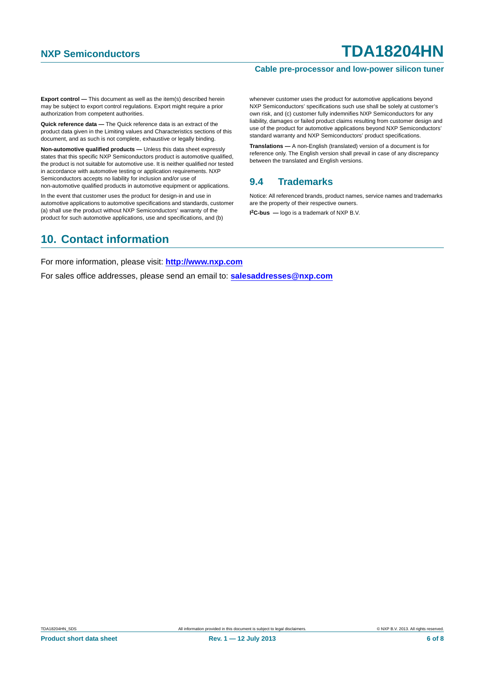#### **Cable pre-processor and low-power silicon tuner**

**Export control —** This document as well as the item(s) described herein may be subject to export control regulations. Export might require a prior authorization from competent authorities.

**Quick reference data —** The Quick reference data is an extract of the product data given in the Limiting values and Characteristics sections of this document, and as such is not complete, exhaustive or legally binding.

**Non-automotive qualified products —** Unless this data sheet expressly states that this specific NXP Semiconductors product is automotive qualified, the product is not suitable for automotive use. It is neither qualified nor tested in accordance with automotive testing or application requirements. NXP Semiconductors accepts no liability for inclusion and/or use of non-automotive qualified products in automotive equipment or applications.

In the event that customer uses the product for design-in and use in automotive applications to automotive specifications and standards, customer (a) shall use the product without NXP Semiconductors' warranty of the product for such automotive applications, use and specifications, and (b)

whenever customer uses the product for automotive applications beyond NXP Semiconductors' specifications such use shall be solely at customer's own risk, and (c) customer fully indemnifies NXP Semiconductors for any liability, damages or failed product claims resulting from customer design and use of the product for automotive applications beyond NXP Semiconductors' standard warranty and NXP Semiconductors' product specifications.

**Translations —** A non-English (translated) version of a document is for reference only. The English version shall prevail in case of any discrepancy between the translated and English versions.

### <span id="page-5-0"></span>**9.4 Trademarks**

Notice: All referenced brands, product names, service names and trademarks are the property of their respective owners.

**I 2C-bus —** logo is a trademark of NXP B.V.

## <span id="page-5-1"></span>**10. Contact information**

For more information, please visit: **http://www.nxp.com**

For sales office addresses, please send an email to: **salesaddresses@nxp.com**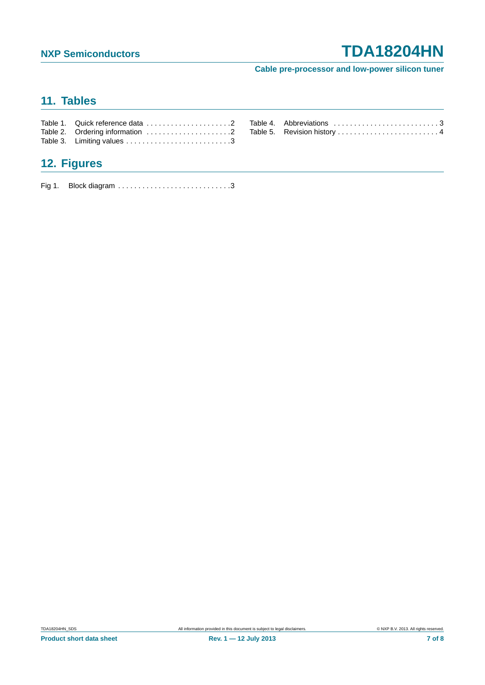**Cable pre-processor and low-power silicon tuner**

## <span id="page-6-0"></span>**11. Tables**

| Table 2. Ordering information 2 |
|---------------------------------|
|                                 |

| Table 4. Abbreviations 3    |  |
|-----------------------------|--|
| Table 5. Revision history 4 |  |

## <span id="page-6-1"></span>**12. Figures**

[Fig 1. Block diagram . . . . . . . . . . . . . . . . . . . . . . . . . . . .3](#page-2-4)